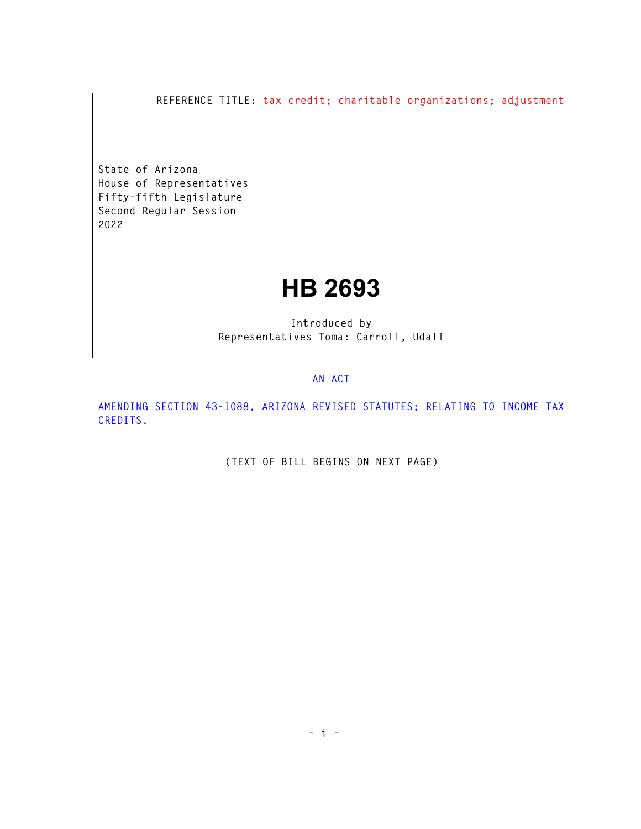**REFERENCE TITLE: tax credit; charitable organizations; adjustment** 

**State of Arizona House of Representatives Fifty-fifth Legislature Second Regular Session 2022** 

## **HB 2693**

**Introduced by Representatives Toma: Carroll, Udall** 

## **AN ACT**

**AMENDING SECTION 43-1088, ARIZONA REVISED STATUTES; RELATING TO INCOME TAX CREDITS.** 

**(TEXT OF BILL BEGINS ON NEXT PAGE)**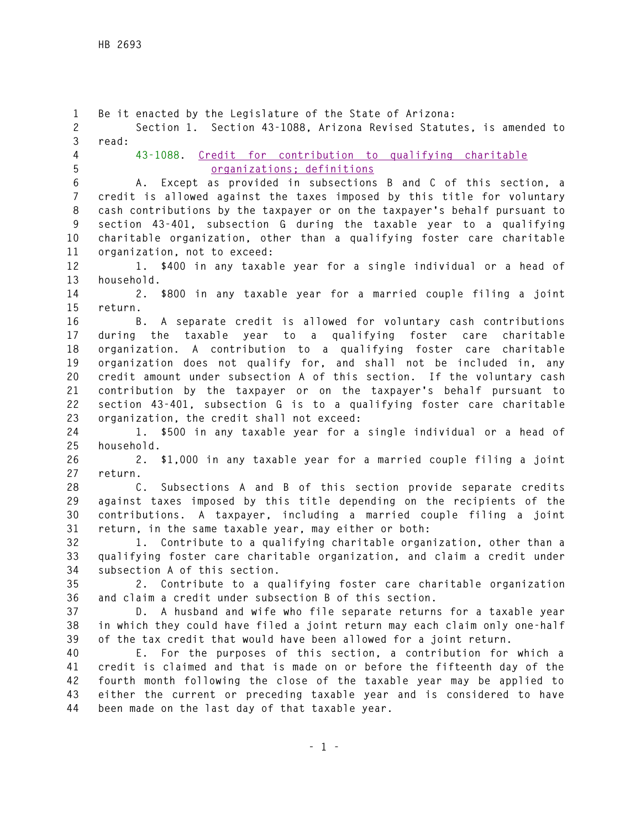**1 Be it enacted by the Legislature of the State of Arizona: 2 Section 1. Section 43-1088, Arizona Revised Statutes, is amended to 3 read: 4 43-1088. Credit for contribution to qualifying charitable 5 organizations; definitions 6 A. Except as provided in subsections B and C of this section, a 7 credit is allowed against the taxes imposed by this title for voluntary 8 cash contributions by the taxpayer or on the taxpayer's behalf pursuant to 9 section 43-401, subsection G during the taxable year to a qualifying 10 charitable organization, other than a qualifying foster care charitable 11 organization, not to exceed: 12 1. \$400 in any taxable year for a single individual or a head of 13 household. 14 2. \$800 in any taxable year for a married couple filing a joint 15 return. 16 B. A separate credit is allowed for voluntary cash contributions 17 during the taxable year to a qualifying foster care charitable 18 organization. A contribution to a qualifying foster care charitable 19 organization does not qualify for, and shall not be included in, any 20 credit amount under subsection A of this section. If the voluntary cash 21 contribution by the taxpayer or on the taxpayer's behalf pursuant to 22 section 43-401, subsection G is to a qualifying foster care charitable 23 organization, the credit shall not exceed: 24 1. \$500 in any taxable year for a single individual or a head of 25 household. 26 2. \$1,000 in any taxable year for a married couple filing a joint 27 return. 28 C. Subsections A and B of this section provide separate credits 29 against taxes imposed by this title depending on the recipients of the 30 contributions. A taxpayer, including a married couple filing a joint 31 return, in the same taxable year, may either or both: 32 1. Contribute to a qualifying charitable organization, other than a 33 qualifying foster care charitable organization, and claim a credit under 34 subsection A of this section. 35 2. Contribute to a qualifying foster care charitable organization 36 and claim a credit under subsection B of this section. 37 D. A husband and wife who file separate returns for a taxable year 38 in which they could have filed a joint return may each claim only one-half 39 of the tax credit that would have been allowed for a joint return. 40 E. For the purposes of this section, a contribution for which a 41 credit is claimed and that is made on or before the fifteenth day of the 42 fourth month following the close of the taxable year may be applied to 43 either the current or preceding taxable year and is considered to have 44 been made on the last day of that taxable year.**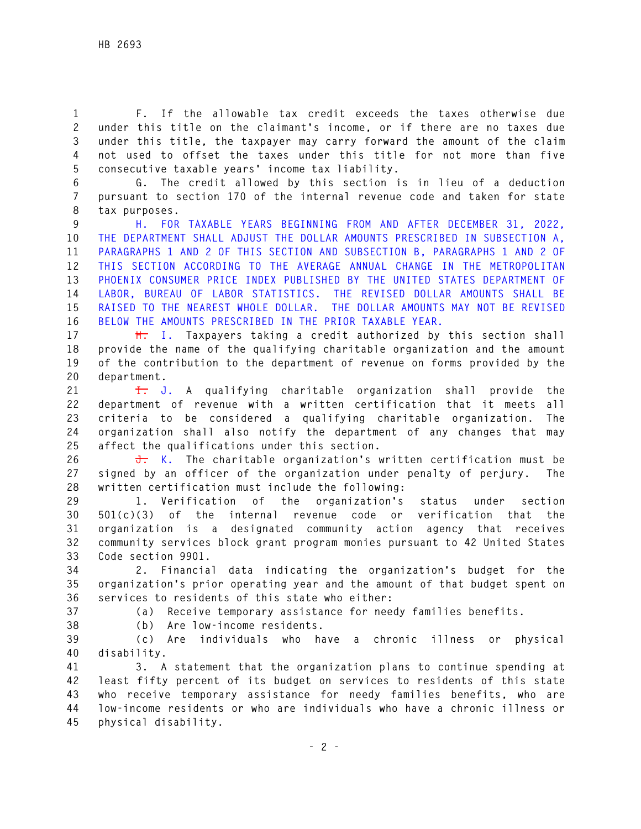**1 F. If the allowable tax credit exceeds the taxes otherwise due 2 under this title on the claimant's income, or if there are no taxes due 3 under this title, the taxpayer may carry forward the amount of the claim 4 not used to offset the taxes under this title for not more than five 5 consecutive taxable years' income tax liability.** 

**6 G. The credit allowed by this section is in lieu of a deduction 7 pursuant to section 170 of the internal revenue code and taken for state 8 tax purposes.** 

**9 H. FOR TAXABLE YEARS BEGINNING FROM AND AFTER DECEMBER 31, 2022, 10 THE DEPARTMENT SHALL ADJUST THE DOLLAR AMOUNTS PRESCRIBED IN SUBSECTION A, 11 PARAGRAPHS 1 AND 2 OF THIS SECTION AND SUBSECTION B, PARAGRAPHS 1 AND 2 OF 12 THIS SECTION ACCORDING TO THE AVERAGE ANNUAL CHANGE IN THE METROPOLITAN 13 PHOENIX CONSUMER PRICE INDEX PUBLISHED BY THE UNITED STATES DEPARTMENT OF 14 LABOR, BUREAU OF LABOR STATISTICS. THE REVISED DOLLAR AMOUNTS SHALL BE 15 RAISED TO THE NEAREST WHOLE DOLLAR. THE DOLLAR AMOUNTS MAY NOT BE REVISED 16 BELOW THE AMOUNTS PRESCRIBED IN THE PRIOR TAXABLE YEAR.** 

**17 H. I. Taxpayers taking a credit authorized by this section shall 18 provide the name of the qualifying charitable organization and the amount 19 of the contribution to the department of revenue on forms provided by the 20 department.** 

**21 I. J. A qualifying charitable organization shall provide the 22 department of revenue with a written certification that it meets all 23 criteria to be considered a qualifying charitable organization. The 24 organization shall also notify the department of any changes that may 25 affect the qualifications under this section.** 

**26 J. K. The charitable organization's written certification must be 27 signed by an officer of the organization under penalty of perjury. The 28 written certification must include the following:** 

**29 1. Verification of the organization's status under section 30 501(c)(3) of the internal revenue code or verification that the 31 organization is a designated community action agency that receives 32 community services block grant program monies pursuant to 42 United States 33 Code section 9901.** 

**34 2. Financial data indicating the organization's budget for the 35 organization's prior operating year and the amount of that budget spent on 36 services to residents of this state who either:** 

**37 (a) Receive temporary assistance for needy families benefits.** 

**38 (b) Are low-income residents.** 

**39 (c) Are individuals who have a chronic illness or physical 40 disability.** 

**41 3. A statement that the organization plans to continue spending at 42 least fifty percent of its budget on services to residents of this state 43 who receive temporary assistance for needy families benefits, who are 44 low-income residents or who are individuals who have a chronic illness or 45 physical disability.**